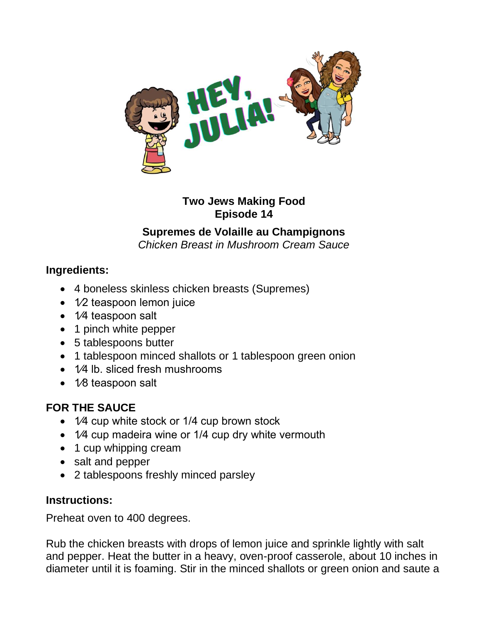

#### **Two Jews Making Food Episode 14**

# **Supremes de Volaille au Champignons**

*Chicken Breast in Mushroom Cream Sauce*

### **Ingredients:**

- 4 boneless skinless chicken breasts (Supremes)
- 1⁄2 teaspoon lemon juice
- 1⁄4 teaspoon salt
- 1 pinch white pepper
- 5 tablespoons butter
- 1 tablespoon minced shallots or 1 tablespoon green onion
- 1⁄4 lb. sliced fresh mushrooms
- 1⁄8 teaspoon salt

# **FOR THE SAUCE**

- 1⁄4 cup white stock or 1/4 cup brown stock
- 1⁄4 cup madeira wine or 1/4 cup dry white vermouth
- 1 cup whipping cream
- salt and pepper
- 2 tablespoons freshly minced parsley

### **Instructions:**

Preheat oven to 400 degrees.

Rub the chicken breasts with drops of lemon juice and sprinkle lightly with salt and pepper. Heat the butter in a heavy, oven-proof casserole, about 10 inches in diameter until it is foaming. Stir in the minced shallots or green onion and saute a